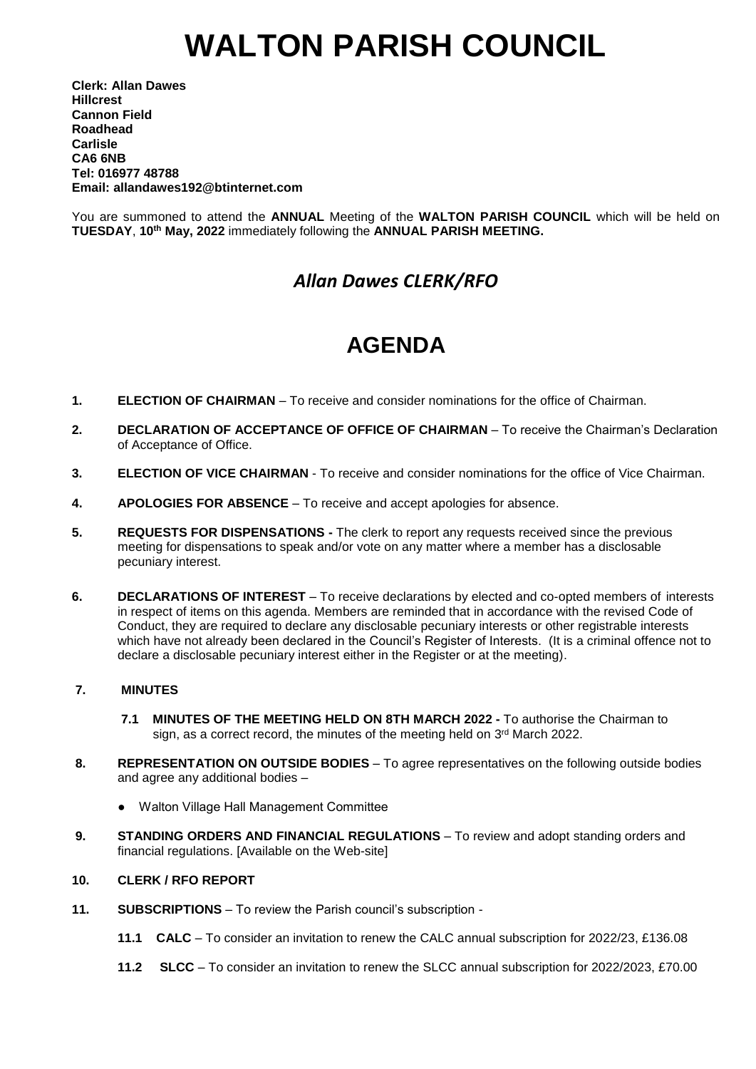# **WALTON PARISH COUNCIL**

**Clerk: Allan Dawes Hillcrest Cannon Field Roadhead Carlisle CA6 6NB Tel: 016977 48788 Email: allandawes192@btinternet.com**

You are summoned to attend the **ANNUAL** Meeting of the **WALTON PARISH COUNCIL** which will be held on **TUESDAY**, **10th May, 2022** immediately following the **ANNUAL PARISH MEETING.**

### *Allan Dawes CLERK/RFO*

## **AGENDA**

- **1. ELECTION OF CHAIRMAN** To receive and consider nominations for the office of Chairman.
- **2. DECLARATION OF ACCEPTANCE OF OFFICE OF CHAIRMAN** To receive the Chairman's Declaration of Acceptance of Office.
- **3. ELECTION OF VICE CHAIRMAN** To receive and consider nominations for the office of Vice Chairman.
- **4. APOLOGIES FOR ABSENCE** To receive and accept apologies for absence.
- **5. REQUESTS FOR DISPENSATIONS -** The clerk to report any requests received since the previous meeting for dispensations to speak and/or vote on any matter where a member has a disclosable pecuniary interest.
- **6. DECLARATIONS OF INTEREST** To receive declarations by elected and co-opted members of interests in respect of items on this agenda. Members are reminded that in accordance with the revised Code of Conduct, they are required to declare any disclosable pecuniary interests or other registrable interests which have not already been declared in the Council's Register of Interests. (It is a criminal offence not to declare a disclosable pecuniary interest either in the Register or at the meeting).

#### **7. MINUTES**

- **7.1 MINUTES OF THE MEETING HELD ON 8TH MARCH 2022 -** To authorise the Chairman to sign, as a correct record, the minutes of the meeting held on 3<sup>rd</sup> March 2022.
- **8. REPRESENTATION ON OUTSIDE BODIES** To agree representatives on the following outside bodies and agree any additional bodies –
	- Walton Village Hall Management Committee
- **9. STANDING ORDERS AND FINANCIAL REGULATIONS** To review and adopt standing orders and financial regulations. [Available on the Web-site]

#### **10. CLERK / RFO REPORT**

- **11. SUBSCRIPTIONS** To review the Parish council's subscription
	- **11.1 CALC** To consider an invitation to renew the CALC annual subscription for 2022/23, £136.08
	- **11.2 SLCC** To consider an invitation to renew the SLCC annual subscription for 2022/2023, £70.00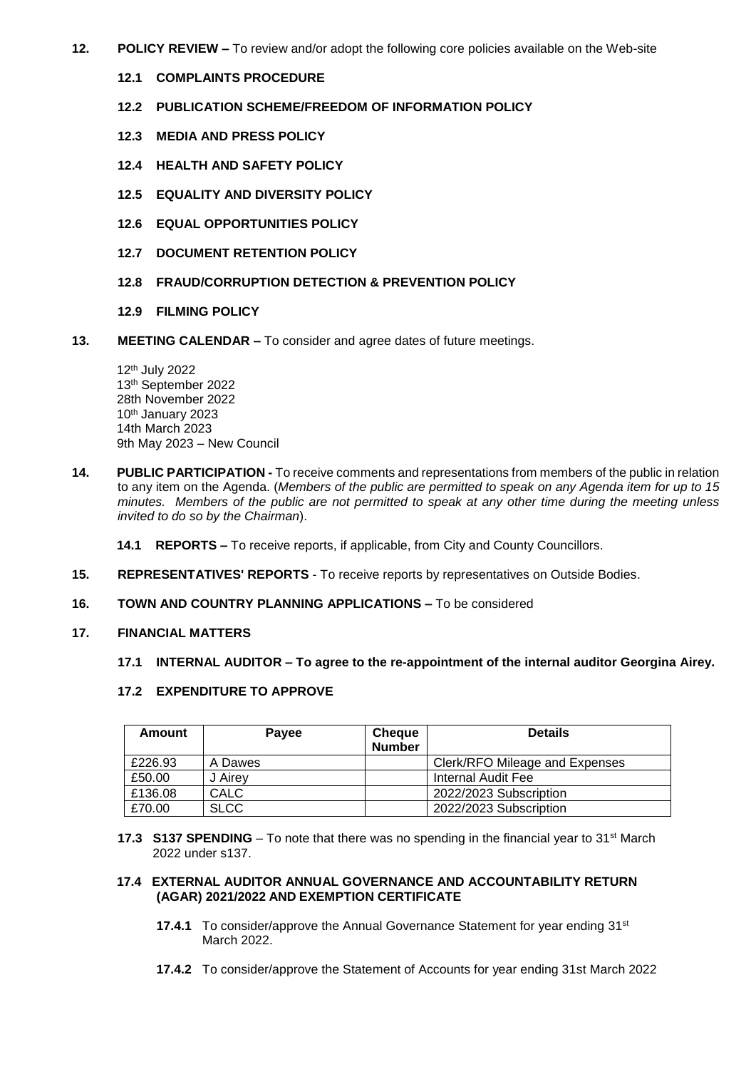- **12. POLICY REVIEW –** To review and/or adopt the following core policies available on the Web-site
	- **12.1 COMPLAINTS PROCEDURE**
	- **12.2 PUBLICATION SCHEME/FREEDOM OF INFORMATION POLICY**
	- **12.3 MEDIA AND PRESS POLICY**
	- **12.4 HEALTH AND SAFETY POLICY**
	- **12.5 EQUALITY AND DIVERSITY POLICY**
	- **12.6 EQUAL OPPORTUNITIES POLICY**
	- **12.7 DOCUMENT RETENTION POLICY**
	- **12.8 FRAUD/CORRUPTION DETECTION & PREVENTION POLICY**
	- **12.9 FILMING POLICY**
- **13. MEETING CALENDAR –** To consider and agree dates of future meetings.

12th July 2022 13th September 2022 28th November 2022 10th January 2023 14th March 2023 9th May 2023 – New Council

**14. PUBLIC PARTICIPATION -** To receive comments and representations from members of the public in relation to any item on the Agenda. (*Members of the public are permitted to speak on any Agenda item for up to 15 minutes. Members of the public are not permitted to speak at any other time during the meeting unless invited to do so by the Chairman*).

**14.1 REPORTS –** To receive reports, if applicable, from City and County Councillors.

- **15. REPRESENTATIVES' REPORTS** To receive reports by representatives on Outside Bodies.
- **16. TOWN AND COUNTRY PLANNING APPLICATIONS –** To be considered
- **17. FINANCIAL MATTERS**

#### **17.1 INTERNAL AUDITOR – To agree to the re-appointment of the internal auditor Georgina Airey.**

**17.2 EXPENDITURE TO APPROVE**

| Amount  | <b>Payee</b> | <b>Cheque</b><br><b>Number</b> | <b>Details</b>                 |
|---------|--------------|--------------------------------|--------------------------------|
| £226.93 | A Dawes      |                                | Clerk/RFO Mileage and Expenses |
| £50.00  | J Airey      |                                | Internal Audit Fee             |
| £136.08 | CALC         |                                | 2022/2023 Subscription         |
| £70.00  | <b>SLCC</b>  |                                | 2022/2023 Subscription         |

**17.3 S137 SPENDING** – To note that there was no spending in the financial year to 31<sup>st</sup> March 2022 under s137.

#### **17.4 EXTERNAL AUDITOR ANNUAL GOVERNANCE AND ACCOUNTABILITY RETURN (AGAR) 2021/2022 AND EXEMPTION CERTIFICATE**

- **17.4.1** To consider/approve the Annual Governance Statement for year ending 31st March 2022.
	- **17.4.2** To consider/approve the Statement of Accounts for year ending 31st March 2022